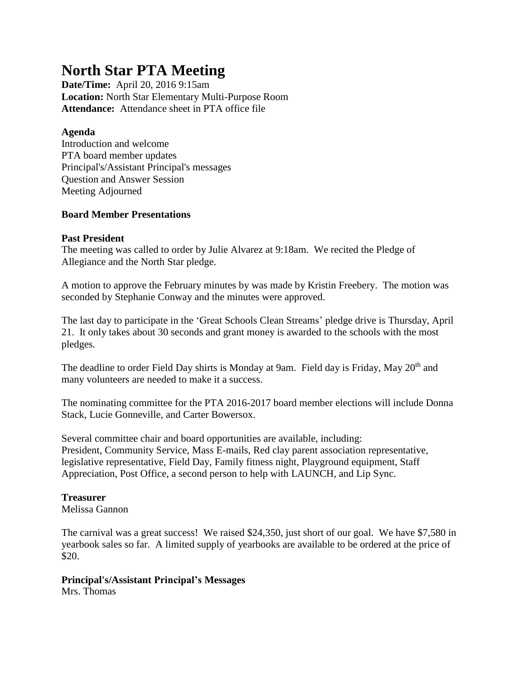# **North Star PTA Meeting**

**Date/Time:** April 20, 2016 9:15am **Location:** North Star Elementary Multi-Purpose Room **Attendance:** Attendance sheet in PTA office file

#### **Agenda**

Introduction and welcome PTA board member updates Principal's/Assistant Principal's messages Question and Answer Session Meeting Adjourned

#### **Board Member Presentations**

#### **Past President**

The meeting was called to order by Julie Alvarez at 9:18am. We recited the Pledge of Allegiance and the North Star pledge.

A motion to approve the February minutes by was made by Kristin Freebery. The motion was seconded by Stephanie Conway and the minutes were approved.

The last day to participate in the 'Great Schools Clean Streams' pledge drive is Thursday, April 21. It only takes about 30 seconds and grant money is awarded to the schools with the most pledges.

The deadline to order Field Day shirts is Monday at 9am. Field day is Friday, May 20<sup>th</sup> and many volunteers are needed to make it a success.

The nominating committee for the PTA 2016-2017 board member elections will include Donna Stack, Lucie Gonneville, and Carter Bowersox.

Several committee chair and board opportunities are available, including: President, Community Service, Mass E-mails, Red clay parent association representative, legislative representative, Field Day, Family fitness night, Playground equipment, Staff Appreciation, Post Office, a second person to help with LAUNCH, and Lip Sync.

### **Treasurer**

Melissa Gannon

The carnival was a great success! We raised \$24,350, just short of our goal. We have \$7,580 in yearbook sales so far. A limited supply of yearbooks are available to be ordered at the price of \$20.

## **Principal's/Assistant Principal's Messages**

Mrs. Thomas